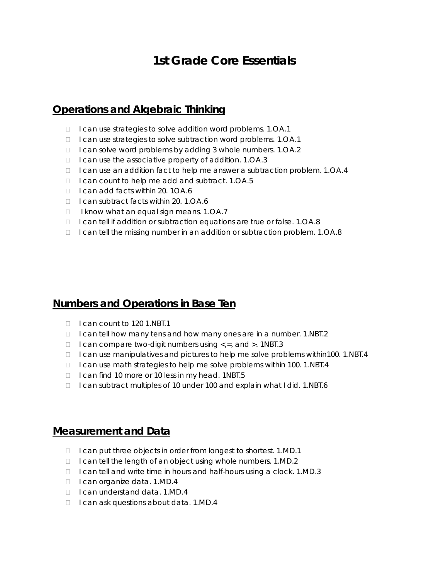# **1st Grade Core Essentials**

### **Operations and Algebraic Thinking**

- □ I can use strategies to solve addition word problems. 1.OA.1
- □ I can use strategies to solve subtraction word problems. 1.OA.1
- □ I can solve word problems by adding 3 whole numbers. 1.OA.2
- $\Box$  I can use the associative property of addition. 1.0A.3
- $\Box$  I can use an addition fact to help me answer a subtraction problem. 1.0A.4
- $\Box$  I can count to help me add and subtract. 1.0A.5
- □ I can add facts within 20. 1OA.6
- □ I can subtract facts within 20. 1.OA.6
- $\Box$  I know what an equal sign means. 1.0A.7
- $\Box$  I can tell if addition or subtraction equations are true or false. 1.0A.8
- □ I can tell the missing number in an addition or subtraction problem. 1.OA.8

#### **Numbers and Operations in Base Ten**

- $\Box$  I can count to 120 1.NBT.1
- □ I can tell how many tens and how many ones are in a number. 1.NBT.2
- $\Box$  I can compare two-digit numbers using <,=, and >. 1NBT.3
- $\Box$  I can use manipulatives and pictures to help me solve problems within100. 1.NBT.4
- $\Box$  I can use math strategies to help me solve problems within 100. 1.NBT.4
- $\Box$  I can find 10 more or 10 less in my head. 1NBT.5
- □ I can subtract multiples of 10 under 100 and explain what I did. 1.NBT.6

#### **Measurement and Data**

- □ I can put three objects in order from longest to shortest. 1.MD.1
- □ I can tell the length of an object using whole numbers. 1.MD.2
- □ I can tell and write time in hours and half-hours using a clock. 1.MD.3
- □ I can organize data. 1.MD.4
- □ I can understand data. 1.MD.4
- $\Box$  I can ask questions about data. 1.MD.4